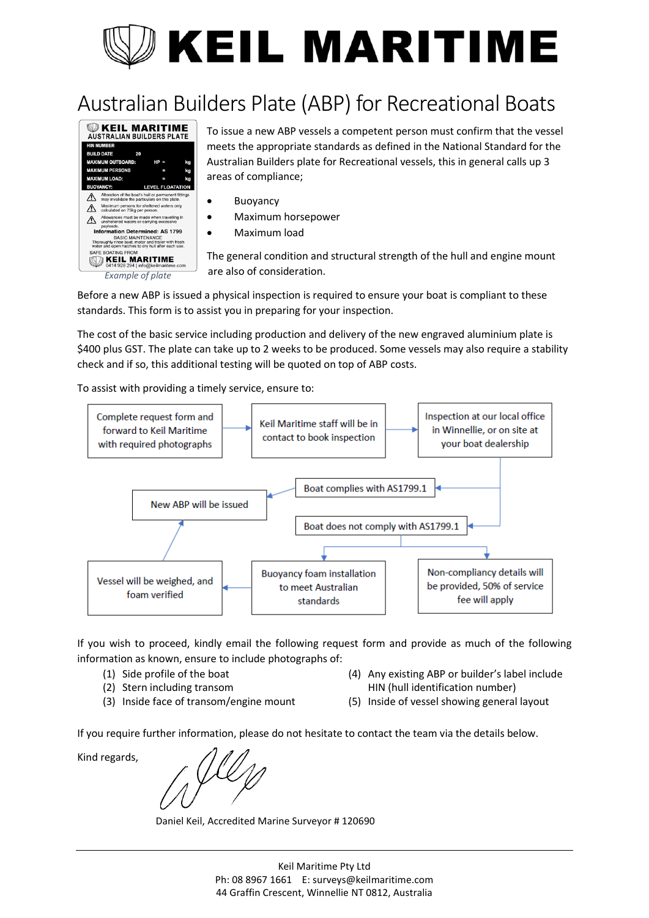## **KEIL MARITIME**

## Australian Builders Plate (ABP) for Recreational Boats



To issue a new ABP vessels a competent person must confirm that the vessel meets the appropriate standards as defined in the National Standard for the Australian Builders plate for Recreational vessels, this in general calls up 3 areas of compliance;

- Buoyancy
- Maximum horsepower
- Maximum load

The general condition and structural strength of the hull and engine mount are also of consideration.

Before a new ABP is issued a physical inspection is required to ensure your boat is compliant to these standards. This form is to assist you in preparing for your inspection.

The cost of the basic service including production and delivery of the new engraved aluminium plate is \$400 plus GST. The plate can take up to 2 weeks to be produced. Some vessels may also require a stability check and if so, this additional testing will be quoted on top of ABP costs.

To assist with providing a timely service, ensure to:



If you wish to proceed, kindly email the following request form and provide as much of the following information as known, ensure to include photographs of:

- (1) Side profile of the boat
- (2) Stern including transom
- (3) Inside face of transom/engine mount
- (4) Any existing ABP or builder's label include HIN (hull identification number)
- (5) Inside of vessel showing general layout

If you require further information, please do not hesitate to contact the team via the details below.

Kind regards,

Daniel Keil, Accredited Marine Surveyor # 120690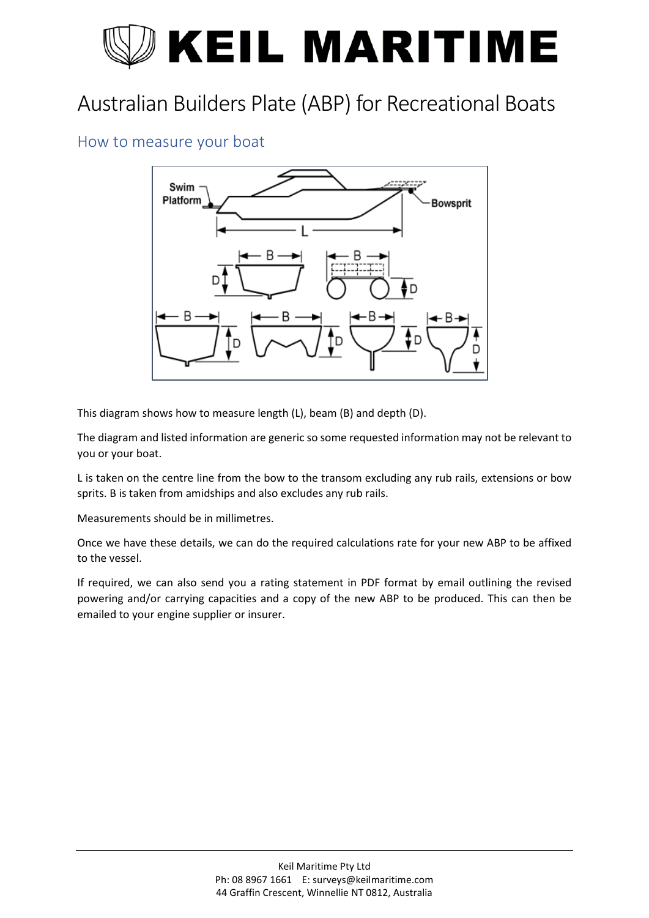# **KEIL MARITIME**

## Australian Builders Plate (ABP) for Recreational Boats

#### How to measure your boat



This diagram shows how to measure length (L), beam (B) and depth (D).

The diagram and listed information are generic so some requested information may not be relevant to you or your boat.

L is taken on the centre line from the bow to the transom excluding any rub rails, extensions or bow sprits. B is taken from amidships and also excludes any rub rails.

Measurements should be in millimetres.

Once we have these details, we can do the required calculations rate for your new ABP to be affixed to the vessel.

If required, we can also send you a rating statement in PDF format by email outlining the revised powering and/or carrying capacities and a copy of the new ABP to be produced. This can then be emailed to your engine supplier or insurer.